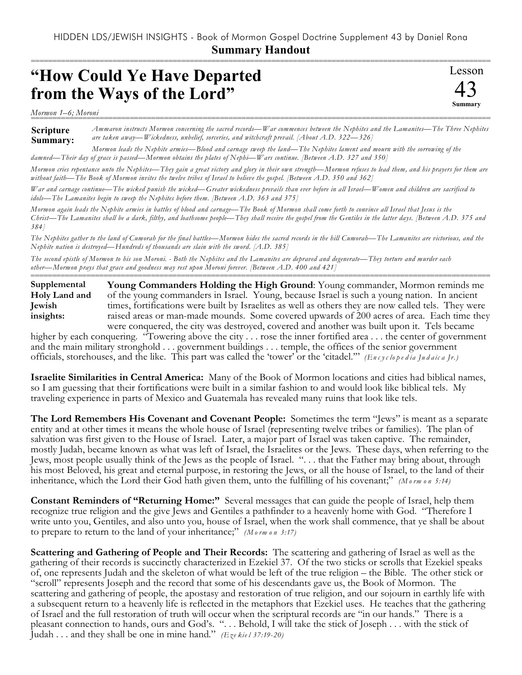===========================================================================================================

Lesson

43 **Summary**

## **"How Could Ye Have Departed from the Ways of the Lord"**

*Mormon 1–6; Moroni* ===========================================================================================================

**Scripture Summary:** *Ammaron instructs Mormon concerning the sacred records—War commences between the Nephites and the Lamanites—The Three Nephites are taken away—Wickedness, unbelief, sorceries, and witchcraft prevail. [About A.D. 322—326]*

*Mormon leads the Nephite armies—Blood and carnage sweep the land—The Nephites lament and mourn with the sorrowing of the damned—Their day of grace is passed—Mormon obtains the plates of Nephi—Wars continue. [Between A.D. 327 and 350]*

*Mormon cries repentance unto the Nephites—They gain a great victory and glory in their own strength—Mormon refuses to lead them, and his prayers for them are without faith—The Book of Mormon invites the twelve tribes of Israel to believe the gospel. [Between A.D. 350 and 362]*

*War and carnage continue—The wicked punish the wicked—Greater wickedness prevails than ever before in all Israel—Women and children are sacrificed to idols—The Lamanites begin to sweep the Nephites before them. [Between A.D. 363 and 375]*

*Mormon again leads the Nephite armies in battles of blood and carnage—The Book of Mormon shall come forth to convince all Israel that Jesus is the Christ—The Lamanites shall be a dark, filthy, and loathsome people—They shall receive the gospel from the Gentiles in the latter days. [Between A.D. 375 and 384]*

*The Nephites gather to the land of Cumorah for the final battles—Mormon hides the sacred records in the hill Cumorah—The Lamanites are victorious, and the Nephite nation is destroyed—Hundreds of thousands are slain with the sword. [A.D. 385]*

*The second epistle of Mormon to his son Moroni. - Both the Nephites and the Lamanites are depraved and degenerate—They torture and murder each other—Mormon prays that grace and goodness may rest upon Moroni forever. [Between A.D. 400 and 421]*

=========================================================================================================== **Young Commanders Holding the High Ground**: Young commander, Mormon reminds me of the young commanders in Israel. Young, because Israel is such a young nation. In ancient times, fortifications were built by Israelites as well as others they are now called tels. They were raised areas or man-made mounds. Some covered upwards of 200 acres of area. Each time they were conquered, the city was destroyed, covered and another was built upon it. Tels became **Supplemental Holy Land and Jewish insights:**

higher by each conquering. "Towering above the city . . . rose the inner fortified area . . . the center of government and the main military stronghold . . . government buildings . . . temple, the offices of the senior government officials, storehouses, and the like. This part was called the 'tower' or the 'citadel.'" *(En c y c lo p e d ia Ju d a ic a Jr.)*

**Israelite Similarities in Central America:** Many of the Book of Mormon locations and cities had biblical names, so I am guessing that their fortifications were built in a similar fashion to and would look like biblical tels. My traveling experience in parts of Mexico and Guatemala has revealed many ruins that look like tels.

**The Lord Remembers His Covenant and Covenant People:** Sometimes the term "Jews" is meant as a separate entity and at other times it means the whole house of Israel (representing twelve tribes or families). The plan of salvation was first given to the House of Israel. Later, a major part of Israel was taken captive. The remainder, mostly Judah, became known as what was left of Israel, the Israelites or the Jews. These days, when referring to the Jews, most people usually think of the Jews as the people of Israel. ". . . that the Father may bring about, through his most Beloved, his great and eternal purpose, in restoring the Jews, or all the house of Israel, to the land of their inheritance, which the Lord their God hath given them, unto the fulfilling of his covenant;" *(M o rm o n 5:14)*

**Constant Reminders of "Returning Home:"** Several messages that can guide the people of Israel, help them recognize true religion and the give Jews and Gentiles a pathfinder to a heavenly home with God. "Therefore I write unto you, Gentiles, and also unto you, house of Israel, when the work shall commence, that ye shall be about to prepare to return to the land of your inheritance;" *(M o rm o n 3:17)*

**Scattering and Gathering of People and Their Records:** The scattering and gathering of Israel as well as the gathering of their records is succinctly characterized in Ezekiel 37. Of the two sticks or scrolls that Ezekiel speaks of, one represents Judah and the skeleton of what would be left of the true religion – the Bible. The other stick or "scroll" represents Joseph and the record that some of his descendants gave us, the Book of Mormon. The scattering and gathering of people, the apostasy and restoration of true religion, and our sojourn in earthly life with a subsequent return to a heavenly life is reflected in the metaphors that Ezekiel uses. He teaches that the gathering of Israel and the full restoration of truth will occur when the scriptural records are "in our hands." There is a pleasant connection to hands, ours and God's. ". . . Behold, I will take the stick of Joseph . . . with the stick of Judah . . . and they shall be one in mine hand." *(Eze kie l 37:19-20)*